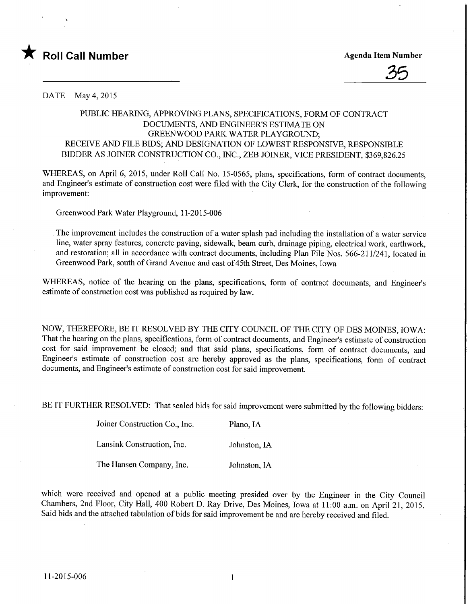



DATE May 4,2015

## PUBLIC HEARING, APPROVING PLANS, SPECIFICATIONS, FORM OF CONTRACT DOCUMENTS, AND ENGINEER'S ESTIMATE ON GREENWOOD PARK WATER PLAYGROUND; RECEIVE AND FILE BIDS; AND DESIGNATION OF LOWEST RESPONSIVE, RESPONSIBLE BIDDER AS JOINER CONSTRUCTION CO., INC., ZEB JOINER, VICE PRESIDENT, \$369,826.25

WHEREAS, on April 6, 2015, under Roll Call No. 15-0565, plans, specifications, form of contract documents, and Engineer's estimate of construction cost were filed with the City Clerk, for the construction of the following improvement:

Greenwood Park Water Playground, 1 1-2015-006

The improvement includes the construction of a water splash pad including the installation of a water service line, water spray features, concrete paving, sidewalk, beam curb, drainage piping, electrical work, earthwork, and restoration; all in accordance with contract documents, including Plan File Nos. 566-211/241, located in Greenwood Park, south of Grand Avenue and east of 45th Street, Des Moines, Iowa

WHEREAS, notice of the hearing on the plans, specifications, form of contract documents, and Engineer's estimate of construction cost was published as required by law.

NOW, THEREFORE, BE IT RESOLVED BY THE CITY COUNCIL OF THE CITY OF DES MOINES, IOWA: That the hearing on the plans, specifications, form of contract documents, and Engineer's estimate of construction cost for said improvement be closed; and that said plans, specifications, form of contract documents, and Engineer's estimate of construction cost are hereby approved as the plans, specifications, form of contract documents, and Engineer's estimate of construction cost for said improvement.

BE IT FURTHER RESOLVED: That sealed bids for said improvement were submitted by the following bidders:

Joiner Construction Co., Inc. Piano, IA

Lansink Construction, Inc. Johnston, LA

The Hansen Company, Inc. Johnston, IA

which were received and opened at a public meeting presided over by the Engineer in the City Council Chambers, 2nd Floor, City Hall, 400 Robert D. Ray Drive, Des Moines, Iowa at 11:00 a.m. on April 21, 2015. Said bids and the attached tabulation of bids for said improvement be and are hereby received and filed.

 $\mathbf{1}$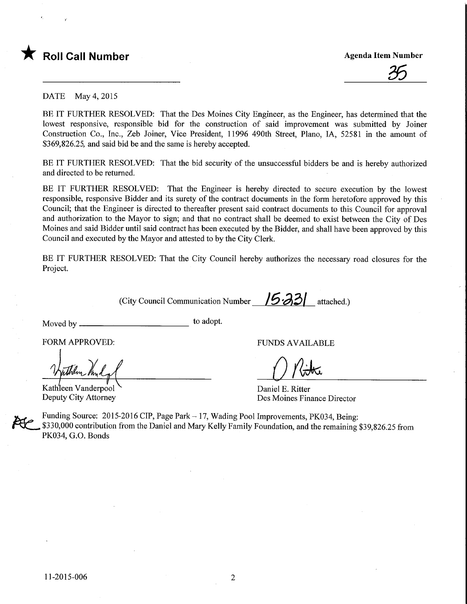



DATE May 4,2015

BE IT FURTHER RESOLVED: That the Des Moines City Engineer, as the Engineer, has determined that the lowest responsive, responsible bid for the construction of said improvement was submitted by Joiner Construction Co., Inc., Zeb Joiner, Vice President, 11996 490th Street, Piano, IA, 52581 in the amount of \$369,826.25, and said bid be and the same is hereby accepted.

BE IT FURTHER RESOLVED: That the bid security of the unsuccessful bidders be and is hereby authorized and directed to be returned.

BE IT FURTHER RESOLVED: That the Engineer is hereby directed to secure execution by the lowest responsible, responsive Bidder and its surety of the contract documents in the form heretofore approved by this Council; that the Engineer is directed to thereafter present said contract documents to this Council for approval and authorization to the Mayor to sign; and that no contract shall be deemed to exist between the City of Des Moines and said Bidder until said contract has been executed by the Bidder, and shall have been approved by this Council and executed by the Mayor and attested to by the City Clerk.

BE IT FURTHER RESOLVED: That the City Council hereby authorizes the necessary road closures for the Project.

(City Council Communication Number  $\sqrt{5.33}$  attached.)

Moved by

to adopt.

FORM APPROVED:

Kathleen Vanderpool Deputy City Attorney

FUNDS AVAILABLE

O Ritha

Daniel E. Ritter Des Moines Finance Director

Funding Source: 2015-2016 CIP, Page Park - 17, Wading Pool Improvements, PK034, Being: \$330,000 contribution from the Daniel and Mary Kelly Family Foundation, and the remaining \$39,826.25 from PK034, G.O. Bonds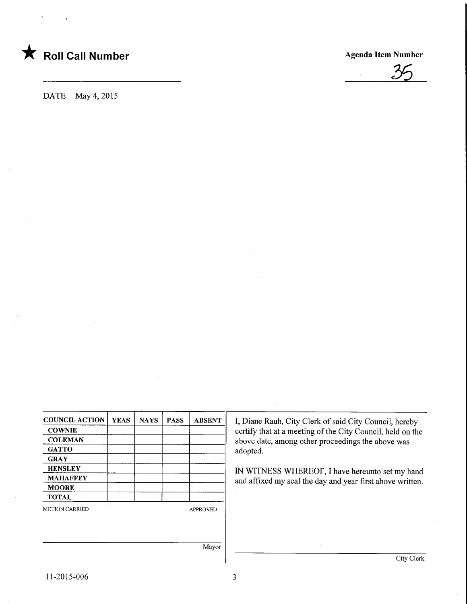



DATE May 4,2015

| <b>COUNCIL ACTION</b> | <b>YEAS</b>     | <b>NAYS</b> | <b>PASS</b> | <b>ABSENT</b> | I, Diane Rauh, City Clerk of said City Council, hereby     |  |  |  |  |  |
|-----------------------|-----------------|-------------|-------------|---------------|------------------------------------------------------------|--|--|--|--|--|
| <b>COWNIE</b>         |                 |             |             |               | certify that at a meeting of the City Council, held on the |  |  |  |  |  |
| <b>COLEMAN</b>        |                 |             |             |               | above date, among other proceedings the above was          |  |  |  |  |  |
| <b>GATTO</b>          |                 |             |             |               | adopted.                                                   |  |  |  |  |  |
| <b>GRAY</b>           |                 |             |             |               |                                                            |  |  |  |  |  |
| <b>HENSLEY</b>        |                 |             |             |               | IN WITNESS WHEREOF, I have hereunto set my hand            |  |  |  |  |  |
| <b>MAHAFFEY</b>       |                 |             |             |               | and affixed my seal the day and year first above written.  |  |  |  |  |  |
| <b>MOORE</b>          |                 |             |             |               |                                                            |  |  |  |  |  |
| <b>TOTAL</b>          |                 |             |             |               |                                                            |  |  |  |  |  |
| <b>MOTION CARRIED</b> | <b>APPROVED</b> |             |             |               |                                                            |  |  |  |  |  |
|                       |                 |             |             |               |                                                            |  |  |  |  |  |
|                       |                 |             |             |               |                                                            |  |  |  |  |  |
|                       |                 |             |             |               |                                                            |  |  |  |  |  |
|                       |                 |             |             | Mayor         |                                                            |  |  |  |  |  |
|                       |                 |             |             |               | City Clerk                                                 |  |  |  |  |  |
|                       |                 |             |             |               |                                                            |  |  |  |  |  |